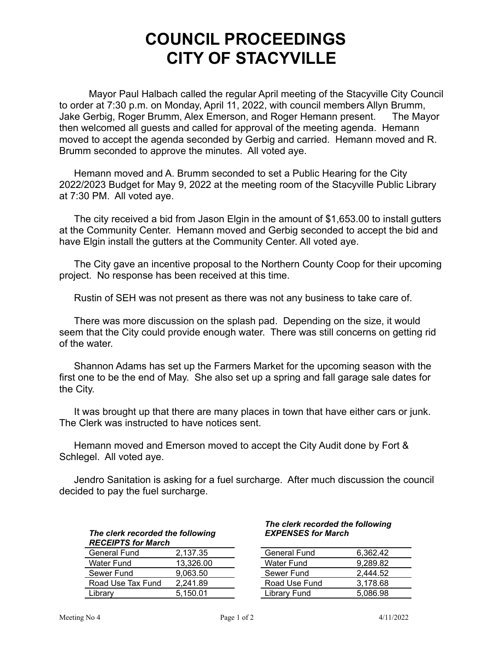## **COUNCIL PROCEEDINGS CITY OF STACYVILLE**

Mayor Paul Halbach called the regular April meeting of the Stacyville City Council to order at 7:30 p.m. on Monday, April 11, 2022, with council members Allyn Brumm, Jake Gerbig, Roger Brumm, Alex Emerson, and Roger Hemann present. The Mayor then welcomed all guests and called for approval of the meeting agenda. Hemann moved to accept the agenda seconded by Gerbig and carried. Hemann moved and R. Brumm seconded to approve the minutes. All voted aye.

Hemann moved and A. Brumm seconded to set a Public Hearing for the City 2022/2023 Budget for May 9, 2022 at the meeting room of the Stacyville Public Library at 7:30 PM. All voted aye.

The city received a bid from Jason Elgin in the amount of \$1,653.00 to install gutters at the Community Center. Hemann moved and Gerbig seconded to accept the bid and have Elgin install the gutters at the Community Center. All voted aye.

The City gave an incentive proposal to the Northern County Coop for their upcoming project. No response has been received at this time.

Rustin of SEH was not present as there was not any business to take care of.

There was more discussion on the splash pad. Depending on the size, it would seem that the City could provide enough water. There was still concerns on getting rid of the water.

Shannon Adams has set up the Farmers Market for the upcoming season with the first one to be the end of May. She also set up a spring and fall garage sale dates for the City.

It was brought up that there are many places in town that have either cars or junk. The Clerk was instructed to have notices sent.

Hemann moved and Emerson moved to accept the City Audit done by Fort & Schlegel. All voted aye.

Jendro Sanitation is asking for a fuel surcharge. After much discussion the council decided to pay the fuel surcharge.

| The clerk recorded the following |
|----------------------------------|
| <b>RECEIPTS for March</b>        |

| General Fund      | 2.137.35  | <b>General Fund</b> | 6.362.42 |
|-------------------|-----------|---------------------|----------|
| Water Fund        | 13.326.00 | Water Fund          | 9.289.82 |
| Sewer Fund        | 9.063.50  | Sewer Fund          | 2.444.52 |
| Road Use Tax Fund | 2.241.89  | Road Use Fund       | 3.178.68 |
| Librarv           | 5.150.01  | Library Fund        | 5.086.98 |

## *The clerk recorded the following EXPENSES for March*

| General Fund  | 6,362.42 |
|---------------|----------|
| Water Fund    | 9,289.82 |
| Sewer Fund    | 2.444.52 |
| Road Use Fund | 3,178.68 |
| Library Fund  | 5,086.98 |